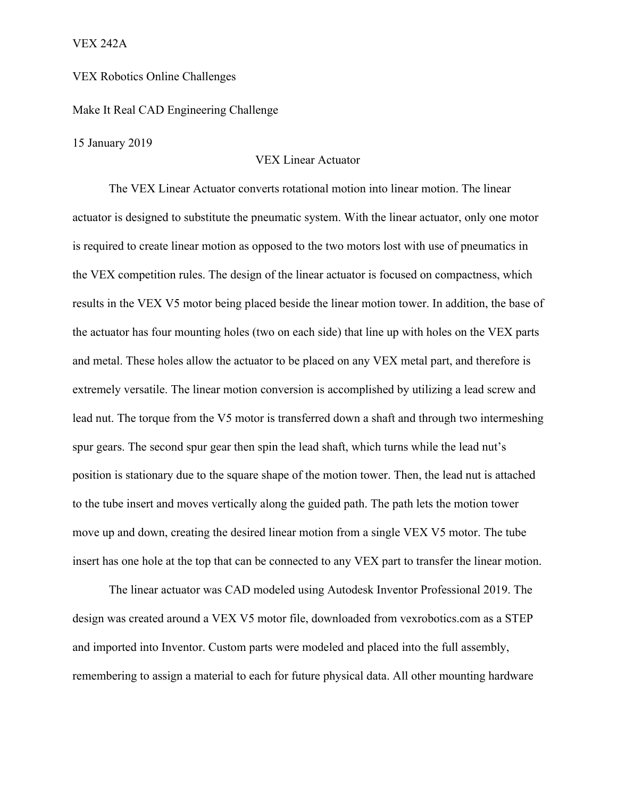VEX 242A

## VEX Robotics Online Challenges

Make It Real CAD Engineering Challenge

15 January 2019

## VEX Linear Actuator

The VEX Linear Actuator converts rotational motion into linear motion. The linear actuator is designed to substitute the pneumatic system. With the linear actuator, only one motor is required to create linear motion as opposed to the two motors lost with use of pneumatics in the VEX competition rules. The design of the linear actuator is focused on compactness, which results in the VEX V5 motor being placed beside the linear motion tower. In addition, the base of the actuator has four mounting holes (two on each side) that line up with holes on the VEX parts and metal. These holes allow the actuator to be placed on any VEX metal part, and therefore is extremely versatile. The linear motion conversion is accomplished by utilizing a lead screw and lead nut. The torque from the V5 motor is transferred down a shaft and through two intermeshing spur gears. The second spur gear then spin the lead shaft, which turns while the lead nut's position is stationary due to the square shape of the motion tower. Then, the lead nut is attached to the tube insert and moves vertically along the guided path. The path lets the motion tower move up and down, creating the desired linear motion from a single VEX V5 motor. The tube insert has one hole at the top that can be connected to any VEX part to transfer the linear motion.

The linear actuator was CAD modeled using Autodesk Inventor Professional 2019. The design was created around a VEX V5 motor file, downloaded from vexrobotics.com as a STEP and imported into Inventor. Custom parts were modeled and placed into the full assembly, remembering to assign a material to each for future physical data. All other mounting hardware